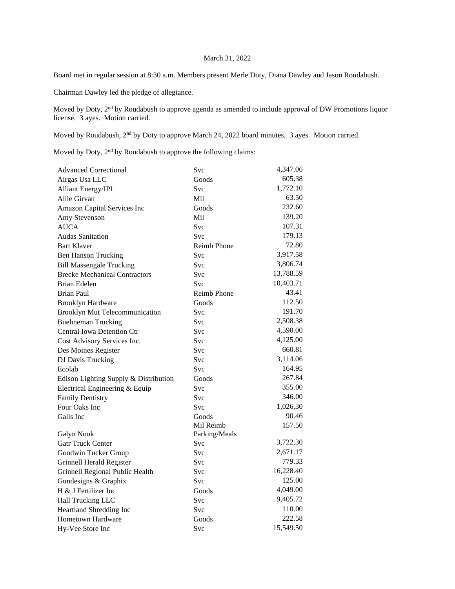## March 31, 2022

Board met in regular session at 8:30 a.m. Members present Merle Doty, Diana Dawley and Jason Roudabush.

Chairman Dawley led the pledge of allegiance.

Moved by Doty,  $2<sup>nd</sup>$  by Roudabush to approve agenda as amended to include approval of DW Promotions liquor license. 3 ayes. Motion carried.

Moved by Roudabush, 2nd by Doty to approve March 24, 2022 board minutes. 3 ayes. Motion carried.

Moved by Doty, 2<sup>nd</sup> by Roudabush to approve the following claims:

| <b>Advanced Correctional</b>          | Svc                | 4,347.06  |
|---------------------------------------|--------------------|-----------|
| Airgas Usa LLC                        | Goods              | 605.38    |
| Alliant Energy/IPL                    | Svc                | 1,772.10  |
| Allie Girvan                          | Mil                | 63.50     |
| Amazon Capital Services Inc           | Goods              | 232.60    |
| Amy Stevenson                         | Mil                | 139.20    |
| <b>AUCA</b>                           | <b>Svc</b>         | 107.31    |
| <b>Audas Sanitation</b>               | <b>Svc</b>         | 179.13    |
| <b>Bart Klaver</b>                    | <b>Reimb Phone</b> | 72.80     |
| <b>Ben Hanson Trucking</b>            | Svc                | 3,917.58  |
| <b>Bill Massengale Trucking</b>       | Svc                | 3,806.74  |
| <b>Brecke Mechanical Contractors</b>  | Svc                | 13,788.59 |
| Brian Edelen                          | <b>Svc</b>         | 10,403.71 |
| <b>Brian Paul</b>                     | <b>Reimb Phone</b> | 43.41     |
| Brooklyn Hardware                     | Goods              | 112.50    |
| Brooklyn Mut Telecommunication        | Svc                | 191.70    |
| <b>Buehneman Trucking</b>             | <b>Svc</b>         | 2,508.38  |
| <b>Central Iowa Detention Ctr</b>     | <b>Svc</b>         | 4,590.00  |
| Cost Advisory Services Inc.           | Svc                | 4,125.00  |
| Des Moines Register                   | Svc                | 660.81    |
| DJ Davis Trucking                     | Svc                | 3,114.06  |
| Ecolab                                | Svc                | 164.95    |
| Edison Lighting Supply & Distribution | Goods              | 267.84    |
| Electrical Engineering & Equip        | Svc                | 355.00    |
| <b>Family Dentistry</b>               | Svc                | 346.00    |
| Four Oaks Inc                         | Svc                | 1,026.30  |
| Galls Inc                             | Goods              | 90.46     |
|                                       | Mil Reimb          | 157.50    |
| Galyn Nook                            | Parking/Meals      |           |
| <b>Gatr Truck Center</b>              | Svc                | 3,722.30  |
| Goodwin Tucker Group                  | Svc                | 2,671.17  |
| Grinnell Herald Register              | Svc                | 779.33    |
| Grinnell Regional Public Health       | Svc                | 16,228.40 |
| Gundesigns & Graphix                  | Svc                | 125.00    |
| H & J Fertilizer Inc                  | Goods              | 4,049.00  |
| Hall Trucking LLC                     | Svc                | 9,405.72  |
| Heartland Shredding Inc               | Svc                | 110.00    |
| Hometown Hardware                     | Goods              | 222.58    |
| Hy-Vee Store Inc                      | Svc                | 15,549.50 |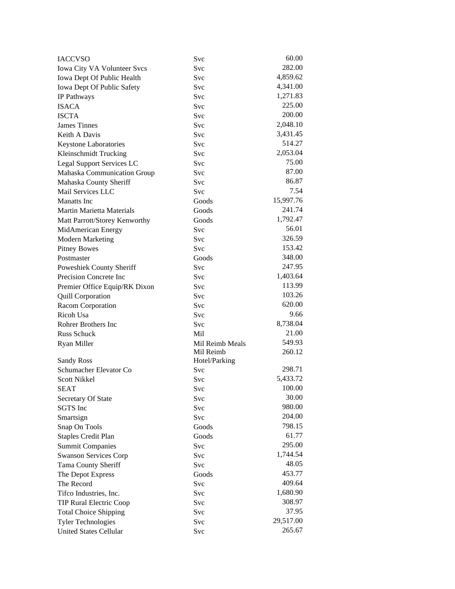| <b>IACCVSO</b>                 | Svc             | 60.00     |
|--------------------------------|-----------------|-----------|
| Iowa City VA Volunteer Svcs    | Svc             | 282.00    |
| Iowa Dept Of Public Health     | Svc             | 4,859.62  |
| Iowa Dept Of Public Safety     | Svc             | 4,341.00  |
| IP Pathways                    | Svc             | 1,271.83  |
| <b>ISACA</b>                   | Svc             | 225.00    |
| <b>ISCTA</b>                   | Svc             | 200.00    |
| <b>James Tinnes</b>            | Svc             | 2,048.10  |
| Keith A Davis                  | Svc             | 3,431.45  |
| Keystone Laboratories          | Svc             | 514.27    |
| Kleinschmidt Trucking          | <b>Svc</b>      | 2,053.04  |
| Legal Support Services LC      | Svc             | 75.00     |
| Mahaska Communication Group    | Svc             | 87.00     |
| Mahaska County Sheriff         | Svc             | 86.87     |
| Mail Services LLC              | Svc             | 7.54      |
| <b>Manatts</b> Inc             | Goods           | 15,997.76 |
| Martin Marietta Materials      | Goods           | 241.74    |
| Matt Parrott/Storey Kenworthy  | Goods           | 1,792.47  |
| MidAmerican Energy             | Svc             | 56.01     |
| <b>Modern Marketing</b>        | Svc             | 326.59    |
| <b>Pitney Bowes</b>            | Svc             | 153.42    |
| Postmaster                     | Goods           | 348.00    |
| Poweshiek County Sheriff       | Svc             | 247.95    |
| Precision Concrete Inc         | Svc             | 1,403.64  |
| Premier Office Equip/RK Dixon  | Svc             | 113.99    |
| <b>Quill Corporation</b>       | Svc             | 103.26    |
| Racom Corporation              | Svc             | 620.00    |
| Ricoh Usa                      | Svc             | 9.66      |
| Rohrer Brothers Inc            | Svc             | 8,738.04  |
| <b>Russ Schuck</b>             | Mil             | 21.00     |
| Ryan Miller                    | Mil Reimb Meals | 549.93    |
|                                | Mil Reimb       | 260.12    |
| <b>Sandy Ross</b>              | Hotel/Parking   |           |
| Schumacher Elevator Co         | Svc             | 298.71    |
| <b>Scott Nikkel</b>            | Svc             | 5,433.72  |
| <b>SEAT</b>                    | Svc             | 100.00    |
| Secretary Of State             | Svc             | 30.00     |
| <b>SGTS</b> Inc                | Svc             | 980.00    |
| Smartsign                      | Svc             | 204.00    |
| Snap On Tools                  | Goods           | 798.15    |
| <b>Staples Credit Plan</b>     | Goods           | 61.77     |
| <b>Summit Companies</b>        | Svc             | 295.00    |
| <b>Swanson Services Corp</b>   | Svc             | 1,744.54  |
| Tama County Sheriff            | Svc             | 48.05     |
| The Depot Express              | Goods           | 453.77    |
| The Record                     | Svc             | 409.64    |
| Tifco Industries, Inc.         | Svc             | 1,680.90  |
| <b>TIP Rural Electric Coop</b> | Svc             | 308.97    |
| <b>Total Choice Shipping</b>   | Svc             | 37.95     |
| <b>Tyler Technologies</b>      | Svc             | 29,517.00 |
| <b>United States Cellular</b>  | Svc             | 265.67    |